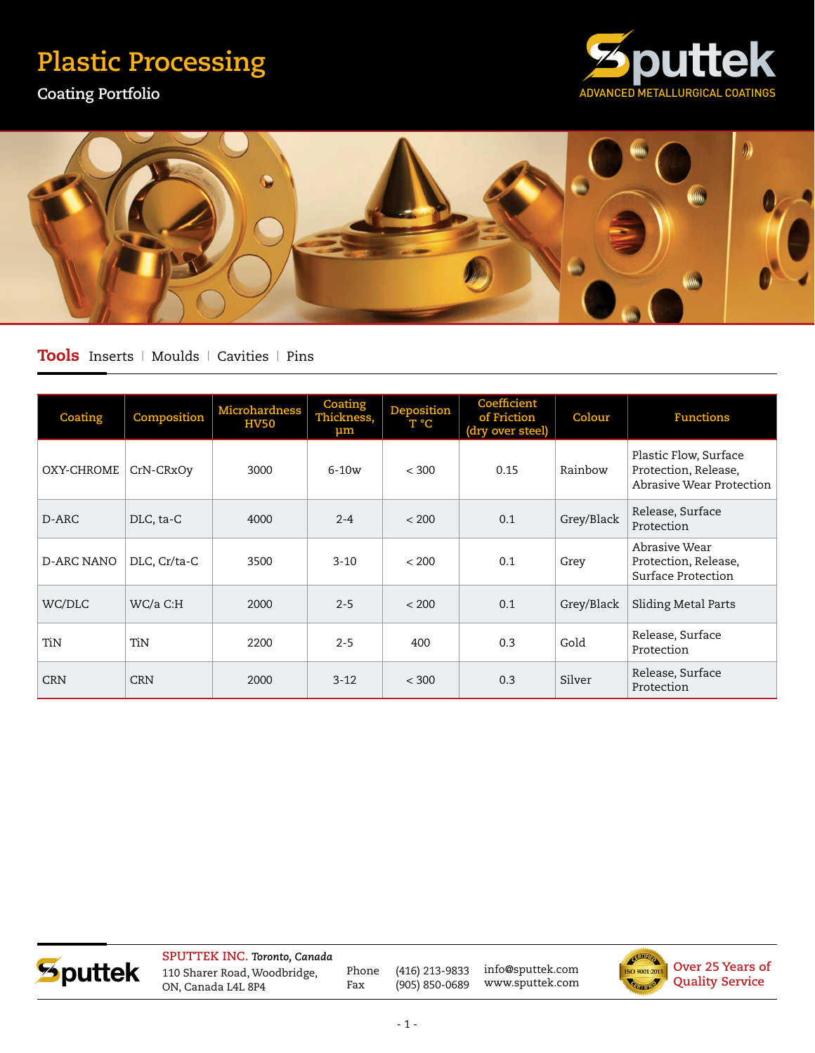## **Plastic Processing**

**Coating Portfolio**





## Tools Inserts | Moulds | Cavities | Pins

| Coating           | Composition  | Microhardness<br><b>HV50</b> | Coating<br>Thickness,<br>$\mu$ m | Deposition<br>T °C | Coefficient<br>of Friction<br>(dry over steel) | Colour     | <b>Functions</b>                                                          |
|-------------------|--------------|------------------------------|----------------------------------|--------------------|------------------------------------------------|------------|---------------------------------------------------------------------------|
| OXY-CHROME        | CrN-CRxOv    | 3000                         | $6-10w$                          | < 300              | 0.15                                           | Rainbow    | Plastic Flow, Surface<br>Protection, Release,<br>Abrasive Wear Protection |
| D-ARC             | DLC, ta-C    | 4000                         | $2 - 4$                          | < 200              | 0.1                                            | Grey/Black | Release, Surface<br>Protection                                            |
| <b>D-ARC NANO</b> | DLC, Cr/ta-C | 3500                         | $3 - 10$                         | < 200              | 0.1                                            | Grey       | Abrasiye Wear<br>Protection, Release,<br>Surface Protection               |
| WC/DLC            | WC/a C:H     | 2000                         | $2 - 5$                          | < 200              | 0.1                                            | Grey/Black | Sliding Metal Parts                                                       |
| TiN               | TiN          | 2200                         | $2 - 5$                          | 400                | 0.3                                            | Gold       | Release, Surface<br>Protection                                            |
| <b>CRN</b>        | <b>CRN</b>   | 2000                         | $3 - 12$                         | < 300              | 0.3                                            | Silver     | Release, Surface<br>Protection                                            |



**SPUTTEK INC.** *Toronto, Canada* 110 Sharer Road, Woodbridge, ON, Canada L4L 8P4

Phone (416) 213-9833 Fax (905) 850-0689

info@sputtek.com www.sputtek.com